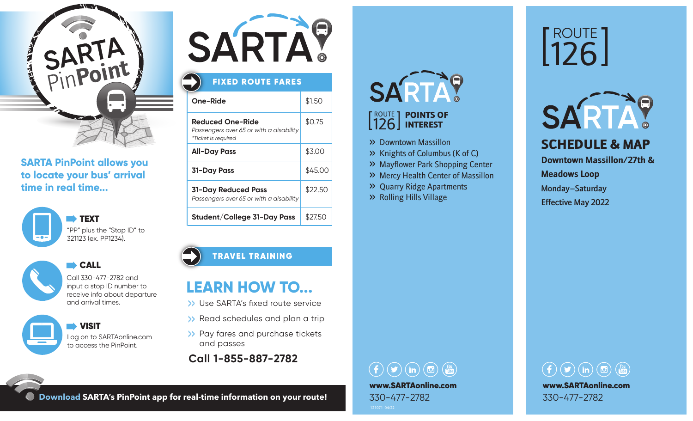

### **SARTA PinPoint allows you to locate your bus' arrival time in real time...**





CALL CALL

Call 330-477-2782 and input a stop ID number to receive info about departure and arrival times.

 VISIT Log on to SARTAonline.com to access the PinPoint.



## FIXED ROUTE FARES

| One-Ride                                                                           | \$1.50  |
|------------------------------------------------------------------------------------|---------|
| Reduced One-Ride<br>Passengers over 65 or with a disability<br>*Ticket is required | \$0.75  |
| <b>All-Day Pass</b>                                                                | \$3.00  |
| <b>31-Day Pass</b>                                                                 | \$45.00 |
| 31-Day Reduced Pass<br>Passengers over 65 or with a disability                     | \$22.50 |
| Student/College 31-Day Pass                                                        | \$27.50 |

#### TRAVEL TRAINING

## **LEARN HOW TO...**

- >> Use SARTA's fixed route service
- >> Read schedules and plan a trip
- >> Pay fares and purchase tickets and passes
- **Call 1-855-887-2782**

# **SARTA?**

#### ROUTE | POINTS OF 126 INTEREST

- >> Downtown Massillon
- >> Knights of Columbus (K of C)
- >> Mayflower Park Shopping Center
- >> Mercy Health Center of Massillon
- >> Quarry Ridge Apartments
- >> Rolling Hills Village

## ROUTE 126



SCHEDULE & MAP

**Downtown Massillon/27th &** 

**Meadows Loop** 

Monday–Saturday Effective May 2022

 $\left(\begin{array}{ccc} 0 & \text{(m)} \\ 0 & \text{(m)} \end{array}\right)$ www.SARTAonline.com 330-477-2782



**Download SARTA's PinPoint app for real-time information on your route!**